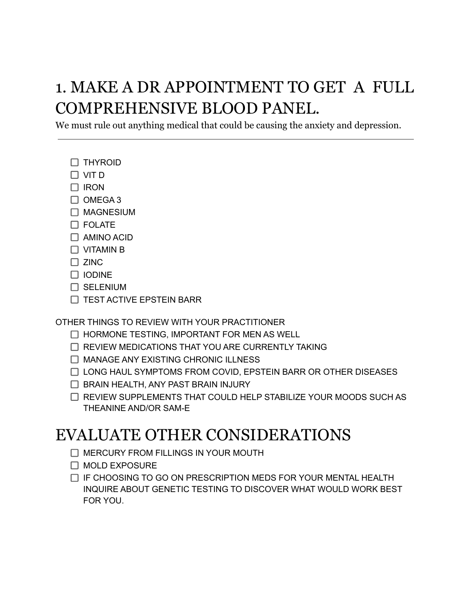## 1. MAKE A DR APPOINTMENT TO GET A FULL COMPREHENSIVE BLOOD PANEL.

We must rule out anything medical that could be causing the anxiety and depression.

- $\Box$  THYROID
- □ VIT D
- $\Box$  IRON
- $\Box$  OMEGA 3
- $\Box$  MAGNESIUM
- $\Box$  FOLATE
- $\Box$  AMINO ACID
- □ VITAMIN B
- $\square$  ZINC
- $\Box$  IODINE
- □ SELENIUM
- $\Box$  TEST ACTIVE EPSTEIN BARR

OTHER THINGS TO REVIEW WITH YOUR PRACTITIONER

- $\Box$  HORMONE TESTING, IMPORTANT FOR MEN AS WELL
- $\Box$  REVIEW MEDICATIONS THAT YOU ARE CURRENTLY TAKING
- $\Box$  MANAGE ANY EXISTING CHRONIC ILLNESS
- $\Box$  LONG HAUL SYMPTOMS FROM COVID, EPSTEIN BARR OR OTHER DISEASES
- $\Box$  BRAIN HEALTH, ANY PAST BRAIN INJURY
- REVIEW SUPPLEMENTS THAT COULD HELP STABILIZE YOUR MOODS SUCH AS THEANINE AND/OR SAM-E

#### EVALUATE OTHER CONSIDERATIONS

- $\Box$  MERCURY FROM FILLINGS IN YOUR MOUTH
- $\Box$  MOLD EXPOSURE
- IF CHOOSING TO GO ON PRESCRIPTION MEDS FOR YOUR MENTAL HEALTH INQUIRE ABOUT GENETIC TESTING TO DISCOVER WHAT WOULD WORK BEST FOR YOU.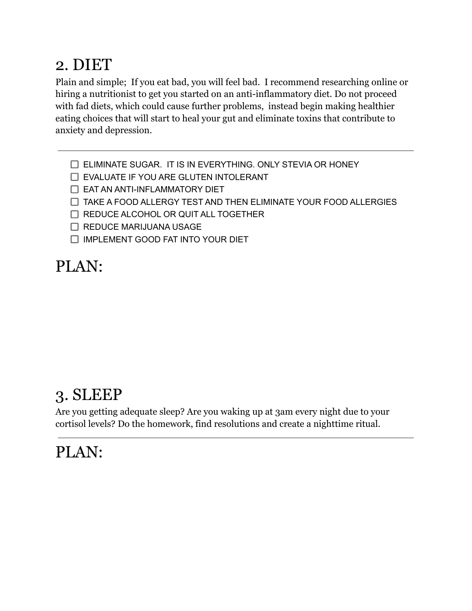## 2. DIET

Plain and simple; If you eat bad, you will feel bad. I recommend researching online or hiring a nutritionist to get you started on an anti-inflammatory diet. Do not proceed with fad diets, which could cause further problems, instead begin making healthier eating choices that will start to heal your gut and eliminate toxins that contribute to anxiety and depression.

- $\Box$  ELIMINATE SUGAR. IT IS IN EVERYTHING. ONLY STEVIA OR HONEY
- EVALUATE IF YOU ARE GLUTEN INTOLERANT
- $\Box$  EAT AN ANTI-INFLAMMATORY DIET
- $\Box$  TAKE A FOOD ALLERGY TEST AND THEN ELIMINATE YOUR FOOD ALLERGIES
- $\Box$  REDUCE ALCOHOL OR QUIT ALL TOGETHER
- $\Box$  REDUCE MARIJUANA USAGE
- $\Box$  IMPLEMENT GOOD FAT INTO YOUR DIET

## PLAN:

## 3. SLEEP

Are you getting adequate sleep? Are you waking up at 3am every night due to your cortisol levels? Do the homework, find resolutions and create a nighttime ritual.

#### PLAN: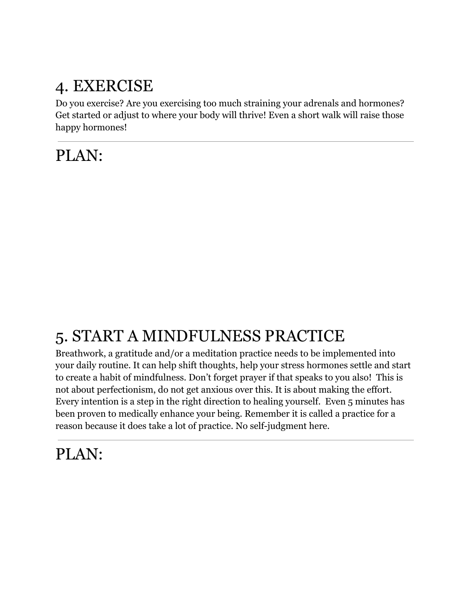# 4. EXERCISE

Do you exercise? Are you exercising too much straining your adrenals and hormones? Get started or adjust to where your body will thrive! Even a short walk will raise those happy hormones!

#### PLAN:

#### 5. START A MINDFULNESS PRACTICE

Breathwork, a gratitude and/or a meditation practice needs to be implemented into your daily routine. It can help shift thoughts, help your stress hormones settle and start to create a habit of mindfulness. Don't forget prayer if that speaks to you also! This is not about perfectionism, do not get anxious over this. It is about making the effort. Every intention is a step in the right direction to healing yourself. Even 5 minutes has been proven to medically enhance your being. Remember it is called a practice for a reason because it does take a lot of practice. No self-judgment here.

#### PLAN: